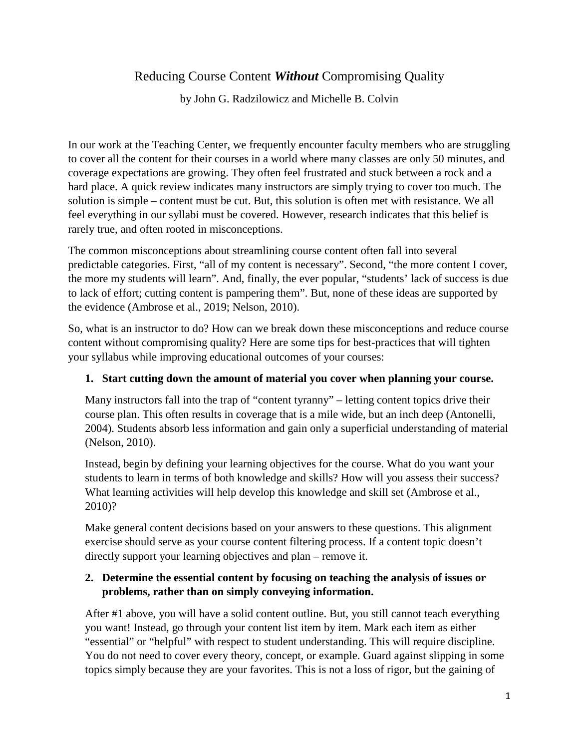# Reducing Course Content *Without* Compromising Quality

by John G. Radzilowicz and Michelle B. Colvin

In our work at the Teaching Center, we frequently encounter faculty members who are struggling to cover all the content for their courses in a world where many classes are only 50 minutes, and coverage expectations are growing. They often feel frustrated and stuck between a rock and a hard place. A quick review indicates many instructors are simply trying to cover too much. The solution is simple – content must be cut. But, this solution is often met with resistance. We all feel everything in our syllabi must be covered. However, research indicates that this belief is rarely true, and often rooted in misconceptions.

The common misconceptions about streamlining course content often fall into several predictable categories. First, "all of my content is necessary". Second, "the more content I cover, the more my students will learn". And, finally, the ever popular, "students' lack of success is due to lack of effort; cutting content is pampering them". But, none of these ideas are supported by the evidence (Ambrose et al., 2019; Nelson, 2010).

So, what is an instructor to do? How can we break down these misconceptions and reduce course content without compromising quality? Here are some tips for best-practices that will tighten your syllabus while improving educational outcomes of your courses:

### **1. Start cutting down the amount of material you cover when planning your course.**

Many instructors fall into the trap of "content tyranny" – letting content topics drive their course plan. This often results in coverage that is a mile wide, but an inch deep (Antonelli, 2004). Students absorb less information and gain only a superficial understanding of material (Nelson, 2010).

Instead, begin by defining your learning objectives for the course. What do you want your students to learn in terms of both knowledge and skills? How will you assess their success? What learning activities will help develop this knowledge and skill set (Ambrose et al., 2010)?

Make general content decisions based on your answers to these questions. This alignment exercise should serve as your course content filtering process. If a content topic doesn't directly support your learning objectives and plan – remove it.

## **2. Determine the essential content by focusing on teaching the analysis of issues or problems, rather than on simply conveying information.**

After #1 above, you will have a solid content outline. But, you still cannot teach everything you want! Instead, go through your content list item by item. Mark each item as either "essential" or "helpful" with respect to student understanding. This will require discipline. You do not need to cover every theory, concept, or example. Guard against slipping in some topics simply because they are your favorites. This is not a loss of rigor, but the gaining of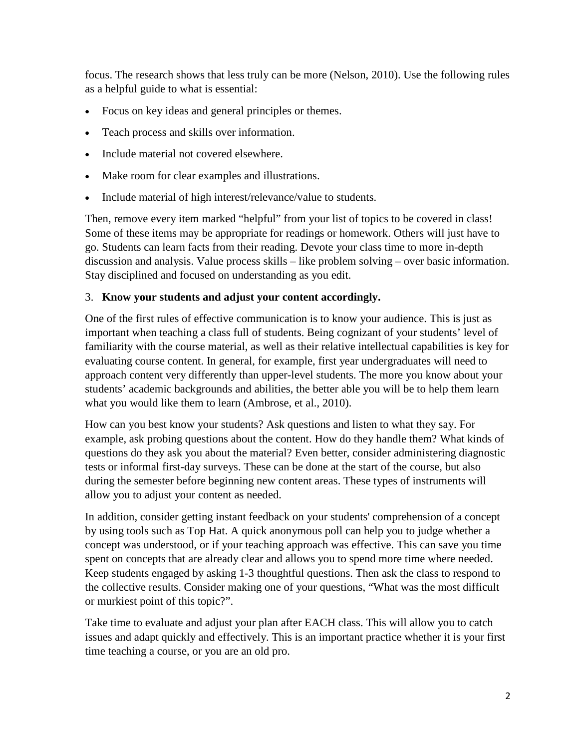focus. The research shows that less truly can be more (Nelson, 2010). Use the following rules as a helpful guide to what is essential:

- Focus on key ideas and general principles or themes.
- Teach process and skills over information.
- Include material not covered elsewhere.
- Make room for clear examples and illustrations.
- Include material of high interest/relevance/value to students.

Then, remove every item marked "helpful" from your list of topics to be covered in class! Some of these items may be appropriate for readings or homework. Others will just have to go. Students can learn facts from their reading. Devote your class time to more in-depth discussion and analysis. Value process skills – like problem solving – over basic information. Stay disciplined and focused on understanding as you edit.

#### 3. **Know your students and adjust your content accordingly.**

One of the first rules of effective communication is to know your audience. This is just as important when teaching a class full of students. Being cognizant of your students' level of familiarity with the course material, as well as their relative intellectual capabilities is key for evaluating course content. In general, for example, first year undergraduates will need to approach content very differently than upper-level students. The more you know about your students' academic backgrounds and abilities, the better able you will be to help them learn what you would like them to learn (Ambrose, et al., 2010).

How can you best know your students? Ask questions and listen to what they say. For example, ask probing questions about the content. How do they handle them? What kinds of questions do they ask you about the material? Even better, consider administering diagnostic tests or informal first-day surveys. These can be done at the start of the course, but also during the semester before beginning new content areas. These types of instruments will allow you to adjust your content as needed.

In addition, consider getting instant feedback on your students' comprehension of a concept by using tools such as Top Hat. A quick anonymous poll can help you to judge whether a concept was understood, or if your teaching approach was effective. This can save you time spent on concepts that are already clear and allows you to spend more time where needed. Keep students engaged by asking 1-3 thoughtful questions. Then ask the class to respond to the collective results. Consider making one of your questions, "What was the most difficult or murkiest point of this topic?".

Take time to evaluate and adjust your plan after EACH class. This will allow you to catch issues and adapt quickly and effectively. This is an important practice whether it is your first time teaching a course, or you are an old pro.